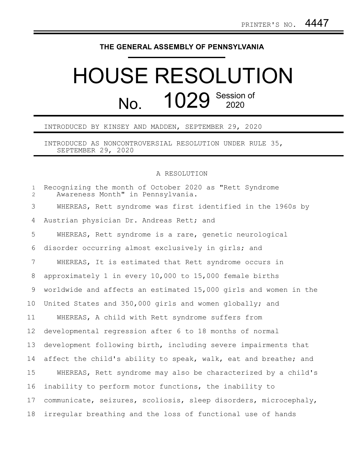## **THE GENERAL ASSEMBLY OF PENNSYLVANIA**

## HOUSE RESOLUTION No. 1029 Session of

## INTRODUCED BY KINSEY AND MADDEN, SEPTEMBER 29, 2020

INTRODUCED AS NONCONTROVERSIAL RESOLUTION UNDER RULE 35, SEPTEMBER 29, 2020

## A RESOLUTION

| $\mathbf{1}$<br>$\mathbf{2}$ | Recognizing the month of October 2020 as "Rett Syndrome<br>Awareness Month" in Pennsylvania. |
|------------------------------|----------------------------------------------------------------------------------------------|
| 3                            | WHEREAS, Rett syndrome was first identified in the 1960s by                                  |
| 4                            | Austrian physician Dr. Andreas Rett; and                                                     |
| 5                            | WHEREAS, Rett syndrome is a rare, genetic neurological                                       |
| 6                            | disorder occurring almost exclusively in girls; and                                          |
| $\overline{7}$               | WHEREAS, It is estimated that Rett syndrome occurs in                                        |
| 8                            | approximately 1 in every 10,000 to 15,000 female births                                      |
| 9                            | worldwide and affects an estimated 15,000 girls and women in the                             |
| 10                           | United States and 350,000 girls and women globally; and                                      |
| 11                           | WHEREAS, A child with Rett syndrome suffers from                                             |
| 12                           | developmental regression after 6 to 18 months of normal                                      |
| 13                           | development following birth, including severe impairments that                               |
| 14                           | affect the child's ability to speak, walk, eat and breathe; and                              |
| 15                           | WHEREAS, Rett syndrome may also be characterized by a child's                                |
| 16                           | inability to perform motor functions, the inability to                                       |
| 17                           | communicate, seizures, scoliosis, sleep disorders, microcephaly,                             |
| 18                           | irregular breathing and the loss of functional use of hands                                  |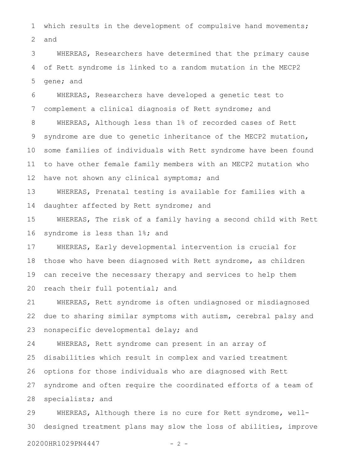which results in the development of compulsive hand movements; and 1 2

WHEREAS, Researchers have determined that the primary cause of Rett syndrome is linked to a random mutation in the MECP2 gene; and 3 4 5

WHEREAS, Researchers have developed a genetic test to complement a clinical diagnosis of Rett syndrome; and WHEREAS, Although less than 1% of recorded cases of Rett syndrome are due to genetic inheritance of the MECP2 mutation, some families of individuals with Rett syndrome have been found to have other female family members with an MECP2 mutation who have not shown any clinical symptoms; and 6 7 8 9 10 11 12

WHEREAS, Prenatal testing is available for families with a daughter affected by Rett syndrome; and 13 14

WHEREAS, The risk of a family having a second child with Rett syndrome is less than 1%; and 15 16

WHEREAS, Early developmental intervention is crucial for those who have been diagnosed with Rett syndrome, as children can receive the necessary therapy and services to help them reach their full potential; and 17 18 19 20

WHEREAS, Rett syndrome is often undiagnosed or misdiagnosed due to sharing similar symptoms with autism, cerebral palsy and nonspecific developmental delay; and 21 22 23

WHEREAS, Rett syndrome can present in an array of disabilities which result in complex and varied treatment options for those individuals who are diagnosed with Rett syndrome and often require the coordinated efforts of a team of specialists; and 24 25 26 27 28

WHEREAS, Although there is no cure for Rett syndrome, welldesigned treatment plans may slow the loss of abilities, improve 29 30

20200HR1029PN4447 - 2 -